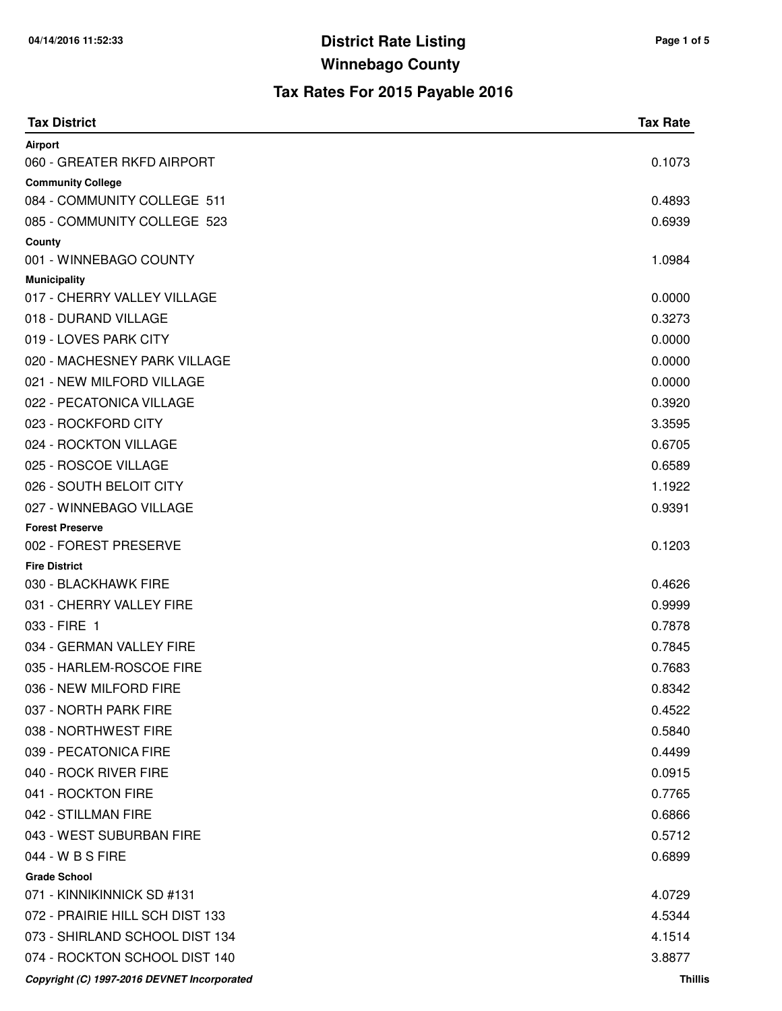| <b>Tax District</b>                         | <b>Tax Rate</b> |
|---------------------------------------------|-----------------|
| Airport                                     |                 |
| 060 - GREATER RKFD AIRPORT                  | 0.1073          |
| <b>Community College</b>                    |                 |
| 084 - COMMUNITY COLLEGE 511                 | 0.4893          |
| 085 - COMMUNITY COLLEGE 523                 | 0.6939          |
| County                                      |                 |
| 001 - WINNEBAGO COUNTY                      | 1.0984          |
| <b>Municipality</b>                         |                 |
| 017 - CHERRY VALLEY VILLAGE                 | 0.0000          |
| 018 - DURAND VILLAGE                        | 0.3273          |
| 019 - LOVES PARK CITY                       | 0.0000          |
| 020 - MACHESNEY PARK VILLAGE                | 0.0000          |
| 021 - NEW MILFORD VILLAGE                   | 0.0000          |
| 022 - PECATONICA VILLAGE                    | 0.3920          |
| 023 - ROCKFORD CITY                         | 3.3595          |
| 024 - ROCKTON VILLAGE                       | 0.6705          |
| 025 - ROSCOE VILLAGE                        | 0.6589          |
| 026 - SOUTH BELOIT CITY                     | 1.1922          |
| 027 - WINNEBAGO VILLAGE                     | 0.9391          |
| <b>Forest Preserve</b>                      |                 |
| 002 - FOREST PRESERVE                       | 0.1203          |
| <b>Fire District</b>                        |                 |
| 030 - BLACKHAWK FIRE                        | 0.4626          |
| 031 - CHERRY VALLEY FIRE                    | 0.9999          |
| 033 - FIRE 1                                | 0.7878          |
| 034 - GERMAN VALLEY FIRE                    | 0.7845          |
| 035 - HARLEM-ROSCOE FIRE                    | 0.7683          |
| 036 - NEW MILFORD FIRE                      | 0.8342          |
| 037 - NORTH PARK FIRE                       | 0.4522          |
| 038 - NORTHWEST FIRE                        | 0.5840          |
| 039 - PECATONICA FIRE                       | 0.4499          |
| 040 - ROCK RIVER FIRE                       | 0.0915          |
| 041 - ROCKTON FIRE                          | 0.7765          |
| 042 - STILLMAN FIRE                         | 0.6866          |
| 043 - WEST SUBURBAN FIRE                    | 0.5712          |
| 044 - W B S FIRE                            | 0.6899          |
| <b>Grade School</b>                         |                 |
| 071 - KINNIKINNICK SD #131                  | 4.0729          |
| 072 - PRAIRIE HILL SCH DIST 133             | 4.5344          |
| 073 - SHIRLAND SCHOOL DIST 134              | 4.1514          |
| 074 - ROCKTON SCHOOL DIST 140               | 3.8877          |
| Copyright (C) 1997-2016 DEVNET Incorporated | <b>Thillis</b>  |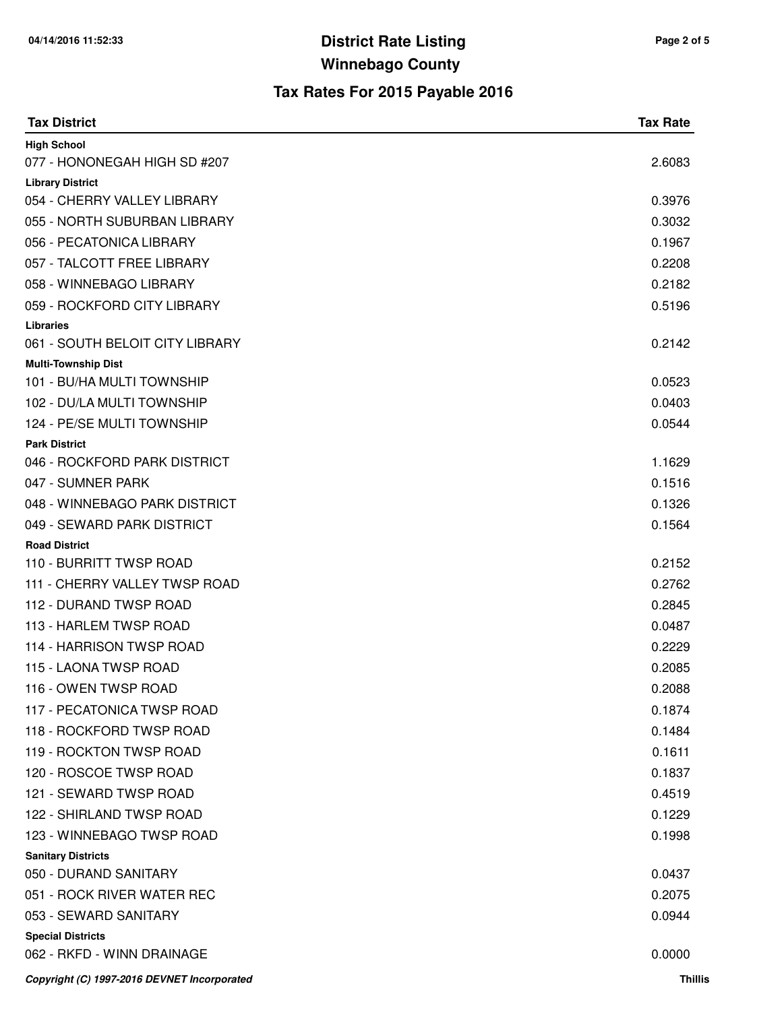| <b>Tax District</b>                                  | <b>Tax Rate</b> |
|------------------------------------------------------|-----------------|
| <b>High School</b>                                   |                 |
| 077 - HONONEGAH HIGH SD #207                         | 2.6083          |
| <b>Library District</b>                              |                 |
| 054 - CHERRY VALLEY LIBRARY                          | 0.3976          |
| 055 - NORTH SUBURBAN LIBRARY                         | 0.3032          |
| 056 - PECATONICA LIBRARY                             | 0.1967          |
| 057 - TALCOTT FREE LIBRARY                           | 0.2208          |
| 058 - WINNEBAGO LIBRARY                              | 0.2182          |
| 059 - ROCKFORD CITY LIBRARY                          | 0.5196          |
| <b>Libraries</b>                                     |                 |
| 061 - SOUTH BELOIT CITY LIBRARY                      | 0.2142          |
| <b>Multi-Township Dist</b>                           |                 |
| 101 - BU/HA MULTI TOWNSHIP                           | 0.0523          |
| 102 - DU/LA MULTI TOWNSHIP                           | 0.0403          |
| 124 - PE/SE MULTI TOWNSHIP                           | 0.0544          |
| <b>Park District</b><br>046 - ROCKFORD PARK DISTRICT | 1.1629          |
| 047 - SUMNER PARK                                    | 0.1516          |
| 048 - WINNEBAGO PARK DISTRICT                        | 0.1326          |
| 049 - SEWARD PARK DISTRICT                           | 0.1564          |
| <b>Road District</b>                                 |                 |
| 110 - BURRITT TWSP ROAD                              | 0.2152          |
| 111 - CHERRY VALLEY TWSP ROAD                        | 0.2762          |
| 112 - DURAND TWSP ROAD                               | 0.2845          |
| 113 - HARLEM TWSP ROAD                               | 0.0487          |
| 114 - HARRISON TWSP ROAD                             | 0.2229          |
| 115 - LAONA TWSP ROAD                                | 0.2085          |
| 116 - OWEN TWSP ROAD                                 | 0.2088          |
| 117 - PECATONICA TWSP ROAD                           | 0.1874          |
| 118 - ROCKFORD TWSP ROAD                             | 0.1484          |
| 119 - ROCKTON TWSP ROAD                              | 0.1611          |
| 120 - ROSCOE TWSP ROAD                               | 0.1837          |
| 121 - SEWARD TWSP ROAD                               | 0.4519          |
| 122 - SHIRLAND TWSP ROAD                             | 0.1229          |
| 123 - WINNEBAGO TWSP ROAD                            | 0.1998          |
| <b>Sanitary Districts</b>                            |                 |
| 050 - DURAND SANITARY                                | 0.0437          |
| 051 - ROCK RIVER WATER REC                           | 0.2075          |
| 053 - SEWARD SANITARY                                | 0.0944          |
| <b>Special Districts</b>                             |                 |
| 062 - RKFD - WINN DRAINAGE                           | 0.0000          |
| Copyright (C) 1997-2016 DEVNET Incorporated          | <b>Thillis</b>  |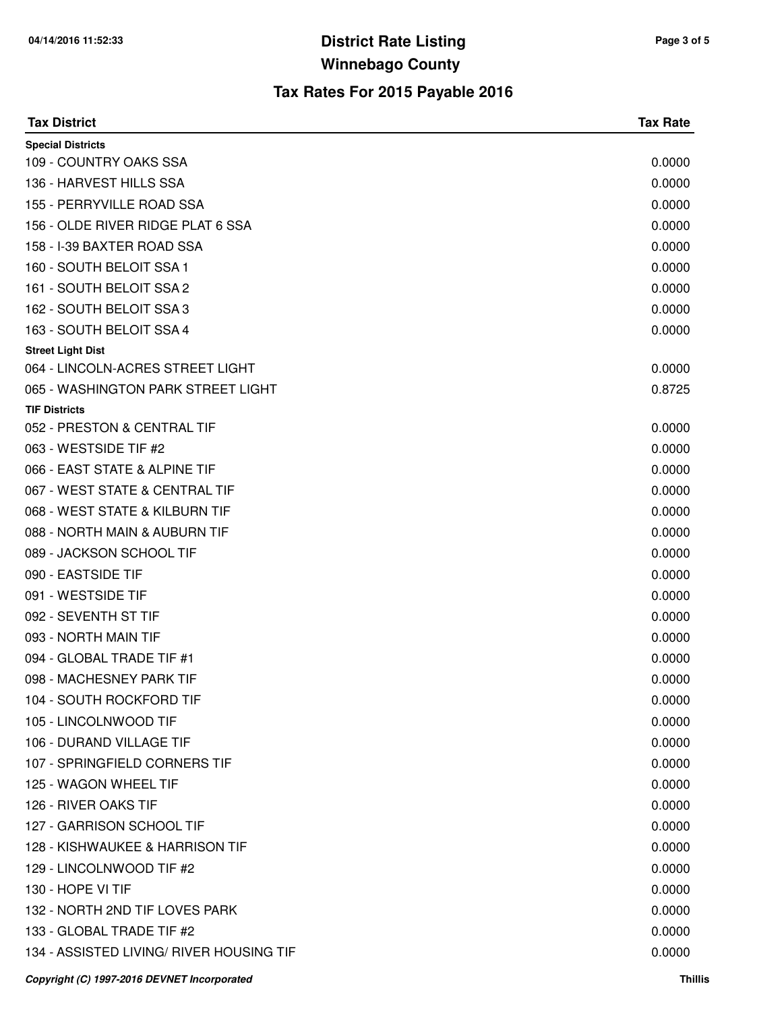| <b>Tax District</b>                         | <b>Tax Rate</b> |
|---------------------------------------------|-----------------|
| <b>Special Districts</b>                    |                 |
| 109 - COUNTRY OAKS SSA                      | 0.0000          |
| 136 - HARVEST HILLS SSA                     | 0.0000          |
| 155 - PERRYVILLE ROAD SSA                   | 0.0000          |
| 156 - OLDE RIVER RIDGE PLAT 6 SSA           | 0.0000          |
| 158 - I-39 BAXTER ROAD SSA                  | 0.0000          |
| 160 - SOUTH BELOIT SSA 1                    | 0.0000          |
| 161 - SOUTH BELOIT SSA 2                    | 0.0000          |
| 162 - SOUTH BELOIT SSA 3                    | 0.0000          |
| 163 - SOUTH BELOIT SSA 4                    | 0.0000          |
| <b>Street Light Dist</b>                    |                 |
| 064 - LINCOLN-ACRES STREET LIGHT            | 0.0000          |
| 065 - WASHINGTON PARK STREET LIGHT          | 0.8725          |
| <b>TIF Districts</b>                        |                 |
| 052 - PRESTON & CENTRAL TIF                 | 0.0000          |
| 063 - WESTSIDE TIF #2                       | 0.0000          |
| 066 - EAST STATE & ALPINE TIF               | 0.0000          |
| 067 - WEST STATE & CENTRAL TIF              | 0.0000          |
| 068 - WEST STATE & KILBURN TIF              | 0.0000          |
| 088 - NORTH MAIN & AUBURN TIF               | 0.0000          |
| 089 - JACKSON SCHOOL TIF                    | 0.0000          |
| 090 - EASTSIDE TIF                          | 0.0000          |
| 091 - WESTSIDE TIF                          | 0.0000          |
| 092 - SEVENTH ST TIF                        | 0.0000          |
| 093 - NORTH MAIN TIF                        | 0.0000          |
| 094 - GLOBAL TRADE TIF #1                   | 0.0000          |
| 098 - MACHESNEY PARK TIF                    | 0.0000          |
| 104 - SOUTH ROCKFORD TIF                    | 0.0000          |
| 105 - LINCOLNWOOD TIF                       | 0.0000          |
| 106 - DURAND VILLAGE TIF                    | 0.0000          |
| 107 - SPRINGFIELD CORNERS TIF               | 0.0000          |
| 125 - WAGON WHEEL TIF                       | 0.0000          |
| 126 - RIVER OAKS TIF                        | 0.0000          |
| 127 - GARRISON SCHOOL TIF                   | 0.0000          |
| 128 - KISHWAUKEE & HARRISON TIF             | 0.0000          |
| 129 - LINCOLNWOOD TIF #2                    | 0.0000          |
| 130 - HOPE VI TIF                           | 0.0000          |
| 132 - NORTH 2ND TIF LOVES PARK              | 0.0000          |
| 133 - GLOBAL TRADE TIF #2                   | 0.0000          |
| 134 - ASSISTED LIVING/ RIVER HOUSING TIF    | 0.0000          |
| Copyright (C) 1997-2016 DEVNET Incorporated | <b>Thillis</b>  |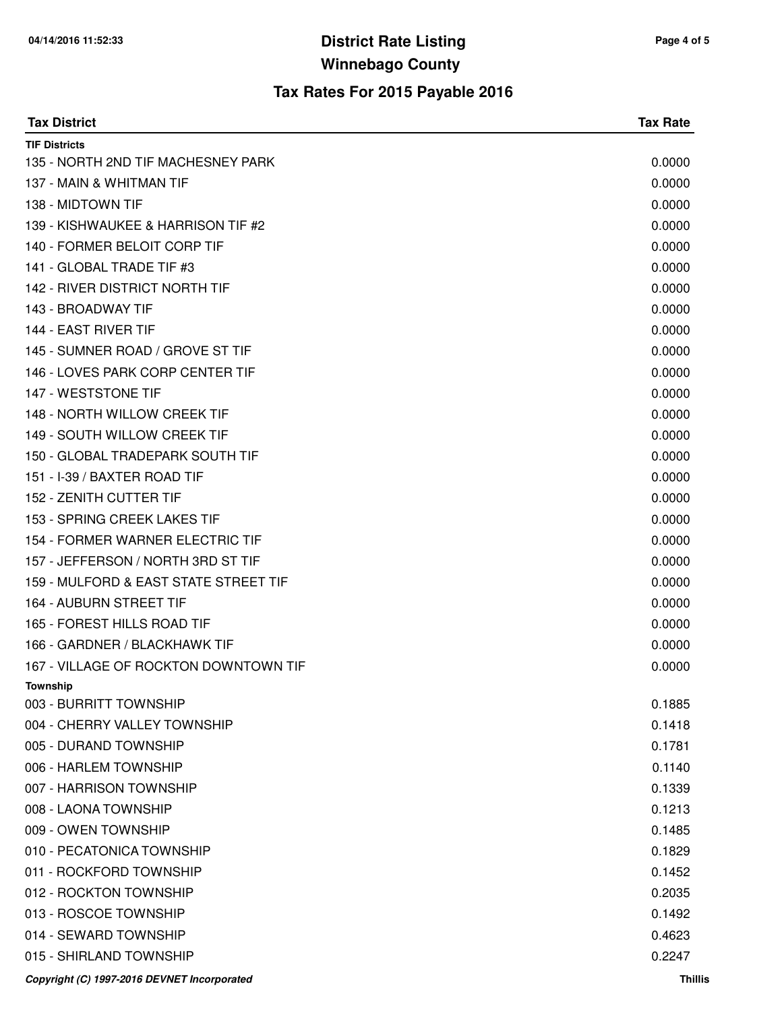| <b>Tax District</b>                         | <b>Tax Rate</b> |
|---------------------------------------------|-----------------|
| <b>TIF Districts</b>                        |                 |
| 135 - NORTH 2ND TIF MACHESNEY PARK          | 0.0000          |
| 137 - MAIN & WHITMAN TIF                    | 0.0000          |
| 138 - MIDTOWN TIF                           | 0.0000          |
| 139 - KISHWAUKEE & HARRISON TIF #2          | 0.0000          |
| 140 - FORMER BELOIT CORP TIF                | 0.0000          |
| 141 - GLOBAL TRADE TIF #3                   | 0.0000          |
| 142 - RIVER DISTRICT NORTH TIF              | 0.0000          |
| 143 - BROADWAY TIF                          | 0.0000          |
| 144 - EAST RIVER TIF                        | 0.0000          |
| 145 - SUMNER ROAD / GROVE ST TIF            | 0.0000          |
| 146 - LOVES PARK CORP CENTER TIF            | 0.0000          |
| 147 - WESTSTONE TIF                         | 0.0000          |
| 148 - NORTH WILLOW CREEK TIF                | 0.0000          |
| 149 - SOUTH WILLOW CREEK TIF                | 0.0000          |
| 150 - GLOBAL TRADEPARK SOUTH TIF            | 0.0000          |
| 151 - I-39 / BAXTER ROAD TIF                | 0.0000          |
| 152 - ZENITH CUTTER TIF                     | 0.0000          |
| 153 - SPRING CREEK LAKES TIF                | 0.0000          |
| 154 - FORMER WARNER ELECTRIC TIF            | 0.0000          |
| 157 - JEFFERSON / NORTH 3RD ST TIF          | 0.0000          |
| 159 - MULFORD & EAST STATE STREET TIF       | 0.0000          |
| 164 - AUBURN STREET TIF                     | 0.0000          |
| 165 - FOREST HILLS ROAD TIF                 | 0.0000          |
| 166 - GARDNER / BLACKHAWK TIF               | 0.0000          |
| 167 - VILLAGE OF ROCKTON DOWNTOWN TIF       | 0.0000          |
| Township                                    |                 |
| 003 - BURRITT TOWNSHIP                      | 0.1885          |
| 004 - CHERRY VALLEY TOWNSHIP                | 0.1418          |
| 005 - DURAND TOWNSHIP                       | 0.1781          |
| 006 - HARLEM TOWNSHIP                       | 0.1140          |
| 007 - HARRISON TOWNSHIP                     | 0.1339          |
| 008 - LAONA TOWNSHIP                        | 0.1213          |
| 009 - OWEN TOWNSHIP                         | 0.1485          |
| 010 - PECATONICA TOWNSHIP                   | 0.1829          |
| 011 - ROCKFORD TOWNSHIP                     | 0.1452          |
| 012 - ROCKTON TOWNSHIP                      | 0.2035          |
| 013 - ROSCOE TOWNSHIP                       | 0.1492          |
| 014 - SEWARD TOWNSHIP                       | 0.4623          |
| 015 - SHIRLAND TOWNSHIP                     | 0.2247          |
| Copyright (C) 1997-2016 DEVNET Incorporated | Thillis         |